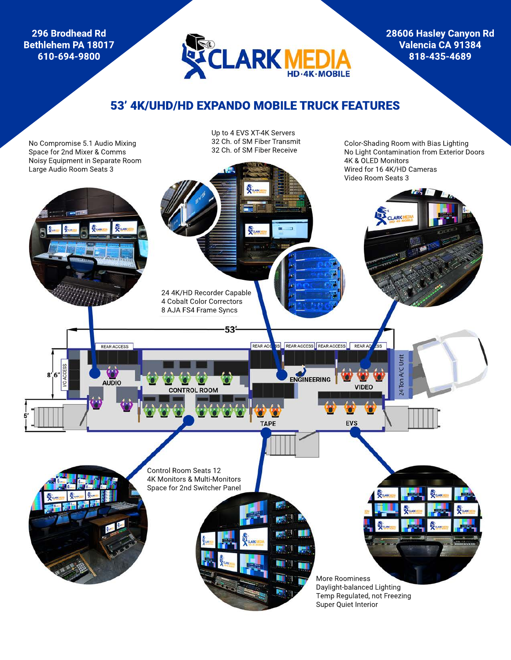**296 Brodhead Rd Bethlehem PA 18017 610-694-9800**



**28606 Hasley Canyon Rd Valencia CA 91384 818-435-4689**

Color-Shading Room with Bias Lighting No Light Contamination from Exterior Doors

# 53' 4K/UHD/HD EXPANDO MOBILE TRUCK FEATURES

No Compromise 5.1 Audio Mixing Space for 2nd Mixer & Comms Noisy Equipment in Separate Room Up to 4 EVS XT-4K Servers 32 Ch. of SM Fiber Transmit 32 Ch. of SM Fiber Receive